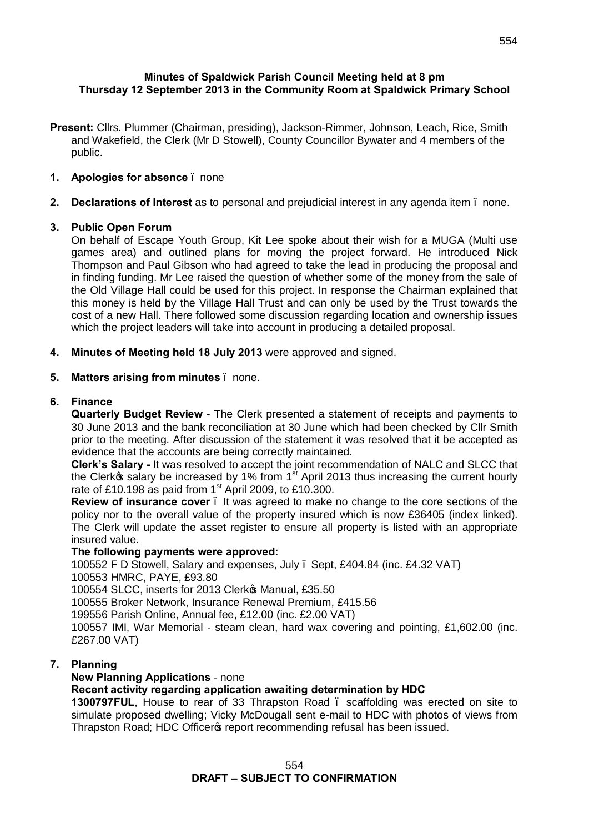# **Minutes of Spaldwick Parish Council Meeting held at 8 pm Thursday 12 September 2013 in the Community Room at Spaldwick Primary School**

- **Present:** Cllrs. Plummer (Chairman, presiding), Jackson-Rimmer, Johnson, Leach, Rice, Smith and Wakefield, the Clerk (Mr D Stowell), County Councillor Bywater and 4 members of the public.
- **1. Apologies for absence**  none
- **2. Declarations of Interest** as to personal and prejudicial interest in any agenda item none.

# **3. Public Open Forum**

On behalf of Escape Youth Group, Kit Lee spoke about their wish for a MUGA (Multi use games area) and outlined plans for moving the project forward. He introduced Nick Thompson and Paul Gibson who had agreed to take the lead in producing the proposal and in finding funding. Mr Lee raised the question of whether some of the money from the sale of the Old Village Hall could be used for this project. In response the Chairman explained that this money is held by the Village Hall Trust and can only be used by the Trust towards the cost of a new Hall. There followed some discussion regarding location and ownership issues which the project leaders will take into account in producing a detailed proposal.

**4. Minutes of Meeting held 18 July 2013** were approved and signed.

# **5. Matters arising from minutes** – none.

#### **6. Finance**

**Quarterly Budget Review** - The Clerk presented a statement of receipts and payments to 30 June 2013 and the bank reconciliation at 30 June which had been checked by Cllr Smith prior to the meeting. After discussion of the statement it was resolved that it be accepted as evidence that the accounts are being correctly maintained.

**Clerk's Salary -** It was resolved to accept the joint recommendation of NALC and SLCC that the Clerkos salary be increased by 1% from  $1<sup>st</sup>$  April 2013 thus increasing the current hourly rate of £10.198 as paid from  $1<sup>st</sup>$  April 2009, to £10.300.

**Review of insurance cover** – It was agreed to make no change to the core sections of the policy nor to the overall value of the property insured which is now £36405 (index linked). The Clerk will update the asset register to ensure all property is listed with an appropriate insured value.

#### **The following payments were approved:**

100552 F D Stowell, Salary and expenses, July – Sept, £404.84 (inc. £4.32 VAT) 100553 HMRC, PAYE, £93.80

100554 SLCC, inserts for 2013 Clerko Manual, £35.50

100555 Broker Network, Insurance Renewal Premium, £415.56

199556 Parish Online, Annual fee, £12.00 (inc. £2.00 VAT)

100557 IMI, War Memorial - steam clean, hard wax covering and pointing, £1,602.00 (inc. £267.00 VAT)

# **7. Planning**

# **New Planning Applications** - none

# **Recent activity regarding application awaiting determination by HDC**

**1300797FUL**, House to rear of 33 Thrapston Road – scaffolding was erected on site to simulate proposed dwelling; Vicky McDougall sent e-mail to HDC with photos of views from Thrapston Road; HDC Officer of report recommending refusal has been issued.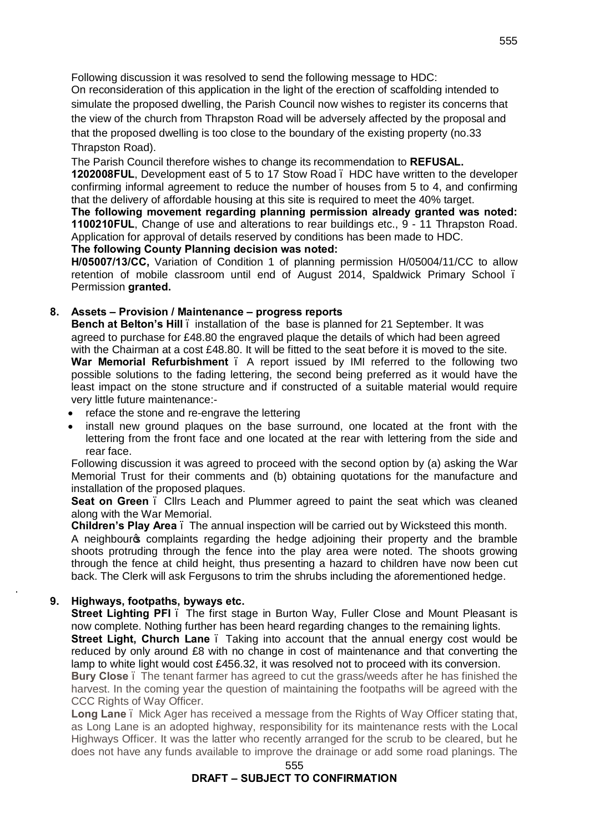Following discussion it was resolved to send the following message to HDC:

On reconsideration of this application in the light of the erection of scaffolding intended to simulate the proposed dwelling, the Parish Council now wishes to register its concerns that the view of the church from Thrapston Road will be adversely affected by the proposal and that the proposed dwelling is too close to the boundary of the existing property (no.33 Thrapston Road).

The Parish Council therefore wishes to change its recommendation to **REFUSAL.**

**1202008FUL**, Development east of 5 to 17 Stow Road – HDC have written to the developer confirming informal agreement to reduce the number of houses from 5 to 4, and confirming that the delivery of affordable housing at this site is required to meet the 40% target.

**The following movement regarding planning permission already granted was noted: 1100210FUL**, Change of use and alterations to rear buildings etc., 9 - 11 Thrapston Road. Application for approval of details reserved by conditions has been made to HDC.

**The following County Planning decision was noted: H/05007/13/CC,** Variation of Condition 1 of planning permission H/05004/11/CC to allow

retention of mobile classroom until end of August 2014, Spaldwick Primary School – Permission **granted.**

#### **8. Assets – Provision / Maintenance – progress reports**

**Bench at Belton's Hill** – installation of the base is planned for 21 September. It was agreed to purchase for £48.80 the engraved plaque the details of which had been agreed with the Chairman at a cost £48.80. It will be fitted to the seat before it is moved to the site. War Memorial Refurbishment . A report issued by IMI referred to the following two possible solutions to the fading lettering, the second being preferred as it would have the least impact on the stone structure and if constructed of a suitable material would require very little future maintenance:-

- reface the stone and re-engrave the lettering
- install new ground plaques on the base surround, one located at the front with the lettering from the front face and one located at the rear with lettering from the side and rear face.

Following discussion it was agreed to proceed with the second option by (a) asking the War Memorial Trust for their comments and (b) obtaining quotations for the manufacture and installation of the proposed plaques.

**Seat on Green** – Cllrs Leach and Plummer agreed to paint the seat which was cleaned along with the War Memorial.

**Children's Play Area** – The annual inspection will be carried out by Wicksteed this month.

A neighbour's complaints regarding the hedge adjoining their property and the bramble shoots protruding through the fence into the play area were noted. The shoots growing through the fence at child height, thus presenting a hazard to children have now been cut back. The Clerk will ask Fergusons to trim the shrubs including the aforementioned hedge.

# **9. Highways, footpaths, byways etc.**

.

**Street Lighting PFI** – The first stage in Burton Way, Fuller Close and Mount Pleasant is now complete. Nothing further has been heard regarding changes to the remaining lights.

**Street Light, Church Lane** . Taking into account that the annual energy cost would be reduced by only around £8 with no change in cost of maintenance and that converting the lamp to white light would cost £456.32, it was resolved not to proceed with its conversion.

**Bury Close** – The tenant farmer has agreed to cut the grass/weeds after he has finished the harvest. In the coming year the question of maintaining the footpaths will be agreed with the CCC Rights of Way Officer.

**Long Lane** – Mick Ager has received a message from the Rights of Way Officer stating that, as Long Lane is an adopted highway, responsibility for its maintenance rests with the Local Highways Officer. It was the latter who recently arranged for the scrub to be cleared, but he does not have any funds available to improve the drainage or add some road planings. The

#### 555 **DRAFT – SUBJECT TO CONFIRMATION**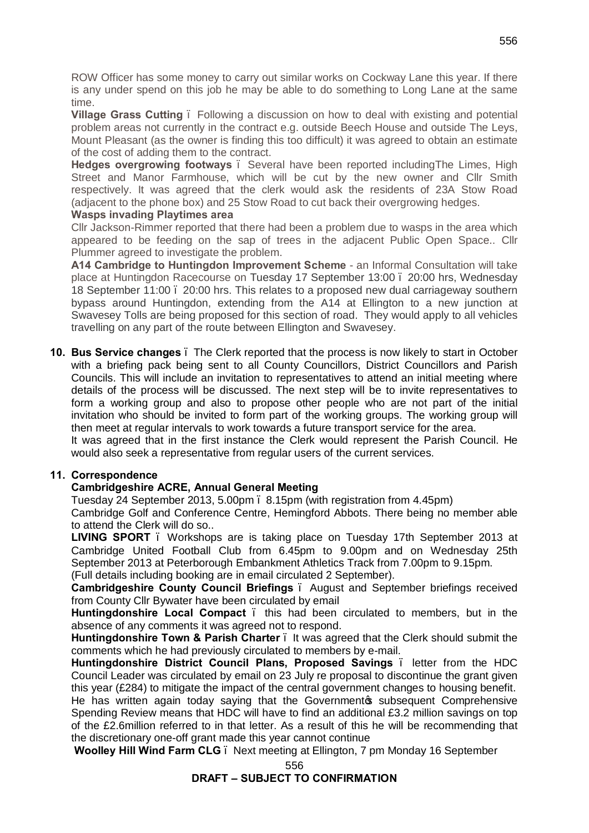ROW Officer has some money to carry out similar works on Cockway Lane this year. If there is any under spend on this job he may be able to do something to Long Lane at the same time.

**Village Grass Cutting** – Following a discussion on how to deal with existing and potential problem areas not currently in the contract e.g. outside Beech House and outside The Leys, Mount Pleasant (as the owner is finding this too difficult) it was agreed to obtain an estimate of the cost of adding them to the contract.

**Hedges overgrowing footways** – Several have been reported includingThe Limes, High Street and Manor Farmhouse, which will be cut by the new owner and Cllr Smith respectively. It was agreed that the clerk would ask the residents of 23A Stow Road (adjacent to the phone box) and 25 Stow Road to cut back their overgrowing hedges.

#### **Wasps invading Playtimes area**

Cllr Jackson-Rimmer reported that there had been a problem due to wasps in the area which appeared to be feeding on the sap of trees in the adjacent Public Open Space.. Cllr Plummer agreed to investigate the problem.

**A14 Cambridge to Huntingdon Improvement Scheme** - an Informal Consultation will take place at Huntingdon Racecourse on Tuesday 17 September 13:00 – 20:00 hrs, Wednesday 18 September 11:00 – 20:00 hrs. This relates to a proposed new dual carriageway southern bypass around Huntingdon, extending from the A14 at Ellington to a new junction at Swavesey Tolls are being proposed for this section of road. They would apply to all vehicles travelling on any part of the route between Ellington and Swavesey.

**10. Bus Service changes** – The Clerk reported that the process is now likely to start in October with a briefing pack being sent to all County Councillors, District Councillors and Parish Councils. This will include an invitation to representatives to attend an initial meeting where details of the process will be discussed. The next step will be to invite representatives to form a working group and also to propose other people who are not part of the initial invitation who should be invited to form part of the working groups. The working group will then meet at regular intervals to work towards a future transport service for the area.

It was agreed that in the first instance the Clerk would represent the Parish Council. He would also seek a representative from regular users of the current services.

# **11. Correspondence**

# **Cambridgeshire ACRE, Annual General Meeting**

Tuesday 24 September 2013, 5.00pm – 8.15pm (with registration from 4.45pm)

Cambridge Golf and Conference Centre, Hemingford Abbots. There being no member able to attend the Clerk will do so..

LIVING SPORT . Workshops are is taking place on Tuesday 17th September 2013 at Cambridge United Football Club from 6.45pm to 9.00pm and on Wednesday 25th September 2013 at Peterborough Embankment Athletics Track from 7.00pm to 9.15pm.

(Full details including booking are in email circulated 2 September).

**Cambridgeshire County Council Briefings** – August and September briefings received from County Cllr Bywater have been circulated by email

**Huntingdonshire Local Compact** . this had been circulated to members, but in the absence of any comments it was agreed not to respond.

**Huntingdonshire Town & Parish Charter** – It was agreed that the Clerk should submit the comments which he had previously circulated to members by e-mail.

**Huntingdonshire District Council Plans, Proposed Savings** – letter from the HDC Council Leader was circulated by email on 23 July re proposal to discontinue the grant given this year (£284) to mitigate the impact of the central government changes to housing benefit.

He has written again today saying that the Government w subsequent Comprehensive Spending Review means that HDC will have to find an additional £3.2 million savings on top of the £2.6million referred to in that letter. As a result of this he will be recommending that the discretionary one-off grant made this year cannot continue

**Woolley Hill Wind Farm CLG** – Next meeting at Ellington, 7 pm Monday 16 September

#### 556 **DRAFT – SUBJECT TO CONFIRMATION**